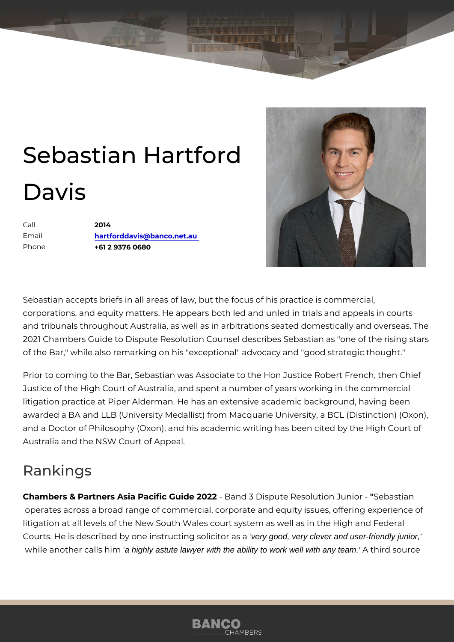## Sebastian Hartford Davis

Call 2014 Email [hartforddavis@banco.](mailto:hartforddavis@banco.net.au)net.au Phone +61 2 9376 0680

Sebastian accepts briefs in all areas of law, but the focus of his practice corporations, and equity matters. He appears both led and unled in trials and tribunals throughout Australia, as well as in arbitrations seated dom 2021 Chambers Guide to Dispute Resolution Counsel describes Sebastian of the Bar," while also remarking on his "exceptional" advocacy and "goo

Prior to coming to the Bar, Sebastian was Associate to the Hon Justice R Justice of the High Court of Australia, and spent a number of years work litigation practice at Piper Alderman. He has an extensive academic back awarded a BA and LLB (University Medallist) from Macquarie University, and a Doctor of Philosophy (Oxon), and his academic writing has been ci Australia and the NSW Court of Appeal.

## Rankings

Chambers & Partners Asia Pacific-GBuaide 2002i2spute Resolution Bhebastoanoperates across a broad range of commercial, corporate and equity issue litigation at all levels of the New South Wales court system as well as in Courts. He is described by one instruction of the experimental as en-friendly junior,' while another cadal highly in any team is him the ability to work well with any team.' A third source